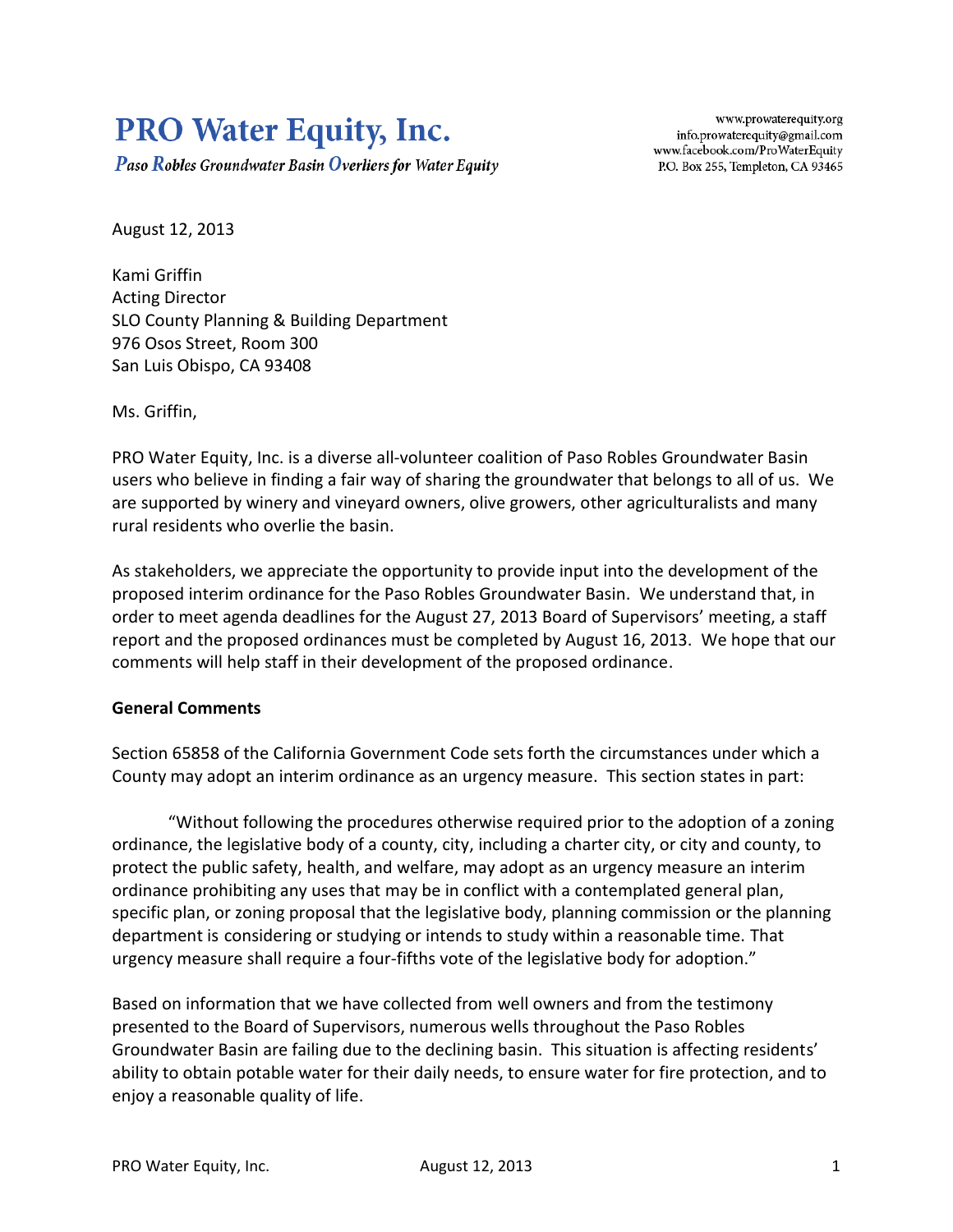# **PRO Water Equity, Inc.**

**Paso Robles Groundwater Basin Overliers for Water Equity** 

www.prowaterequity.org info.prowaterequity@gmail.com www.facebook.com/ProWaterEquity P.O. Box 255, Templeton, CA 93465

August 12, 2013

Kami Griffin Acting Director SLO County Planning & Building Department 976 Osos Street, Room 300 San Luis Obispo, CA 93408

Ms. Griffin,

PRO Water Equity, Inc. is a diverse all-volunteer coalition of Paso Robles Groundwater Basin users who believe in finding a fair way of sharing the groundwater that belongs to all of us. We are supported by winery and vineyard owners, olive growers, other agriculturalists and many rural residents who overlie the basin.

As stakeholders, we appreciate the opportunity to provide input into the development of the proposed interim ordinance for the Paso Robles Groundwater Basin. We understand that, in order to meet agenda deadlines for the August 27, 2013 Board of Supervisors' meeting, a staff report and the proposed ordinances must be completed by August 16, 2013. We hope that our comments will help staff in their development of the proposed ordinance.

#### **General Comments**

Section 65858 of the California Government Code sets forth the circumstances under which a County may adopt an interim ordinance as an urgency measure. This section states in part:

"Without following the procedures otherwise required prior to the adoption of a zoning ordinance, the legislative body of a county, city, including a charter city, or city and county, to protect the public safety, health, and welfare, may adopt as an urgency measure an interim ordinance prohibiting any uses that may be in conflict with a contemplated general plan, specific plan, or zoning proposal that the legislative body, planning commission or the planning department is considering or studying or intends to study within a reasonable time. That urgency measure shall require a four-fifths vote of the legislative body for adoption."

Based on information that we have collected from well owners and from the testimony presented to the Board of Supervisors, numerous wells throughout the Paso Robles Groundwater Basin are failing due to the declining basin. This situation is affecting residents' ability to obtain potable water for their daily needs, to ensure water for fire protection, and to enjoy a reasonable quality of life.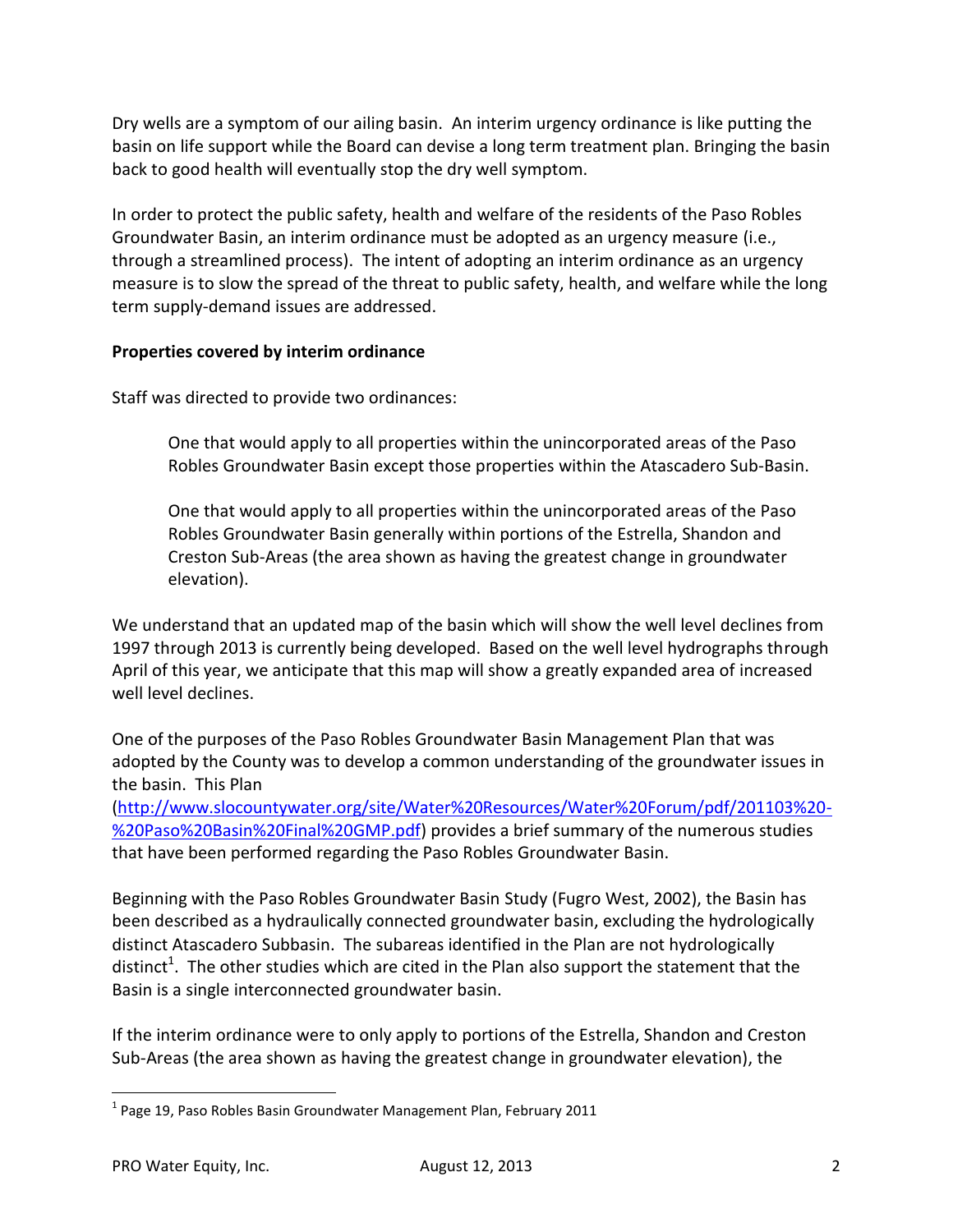Dry wells are a symptom of our ailing basin. An interim urgency ordinance is like putting the basin on life support while the Board can devise a long term treatment plan. Bringing the basin back to good health will eventually stop the dry well symptom.

In order to protect the public safety, health and welfare of the residents of the Paso Robles Groundwater Basin, an interim ordinance must be adopted as an urgency measure (i.e., through a streamlined process). The intent of adopting an interim ordinance as an urgency measure is to slow the spread of the threat to public safety, health, and welfare while the long term supply-demand issues are addressed.

## **Properties covered by interim ordinance**

Staff was directed to provide two ordinances:

One that would apply to all properties within the unincorporated areas of the Paso Robles Groundwater Basin except those properties within the Atascadero Sub-Basin.

One that would apply to all properties within the unincorporated areas of the Paso Robles Groundwater Basin generally within portions of the Estrella, Shandon and Creston Sub-Areas (the area shown as having the greatest change in groundwater elevation).

We understand that an updated map of the basin which will show the well level declines from 1997 through 2013 is currently being developed. Based on the well level hydrographs through April of this year, we anticipate that this map will show a greatly expanded area of increased well level declines.

One of the purposes of the Paso Robles Groundwater Basin Management Plan that was adopted by the County was to develop a common understanding of the groundwater issues in the basin. This Plan

[\(http://www.slocountywater.org/site/Water%20Resources/Water%20Forum/pdf/201103%20-](http://www.slocountywater.org/site/Water%20Resources/Water%20Forum/pdf/201103%20-%20Paso%20Basin%20Final%20GMP.pdf) [%20Paso%20Basin%20Final%20GMP.pdf\)](http://www.slocountywater.org/site/Water%20Resources/Water%20Forum/pdf/201103%20-%20Paso%20Basin%20Final%20GMP.pdf) provides a brief summary of the numerous studies that have been performed regarding the Paso Robles Groundwater Basin.

Beginning with the Paso Robles Groundwater Basin Study (Fugro West, 2002), the Basin has been described as a hydraulically connected groundwater basin, excluding the hydrologically distinct Atascadero Subbasin. The subareas identified in the Plan are not hydrologically distinct<sup>1</sup>. The other studies which are cited in the Plan also support the statement that the Basin is a single interconnected groundwater basin.

If the interim ordinance were to only apply to portions of the Estrella, Shandon and Creston Sub-Areas (the area shown as having the greatest change in groundwater elevation), the

 $\overline{\phantom{a}}$ 

<sup>&</sup>lt;sup>1</sup> Page 19, Paso Robles Basin Groundwater Management Plan, February 2011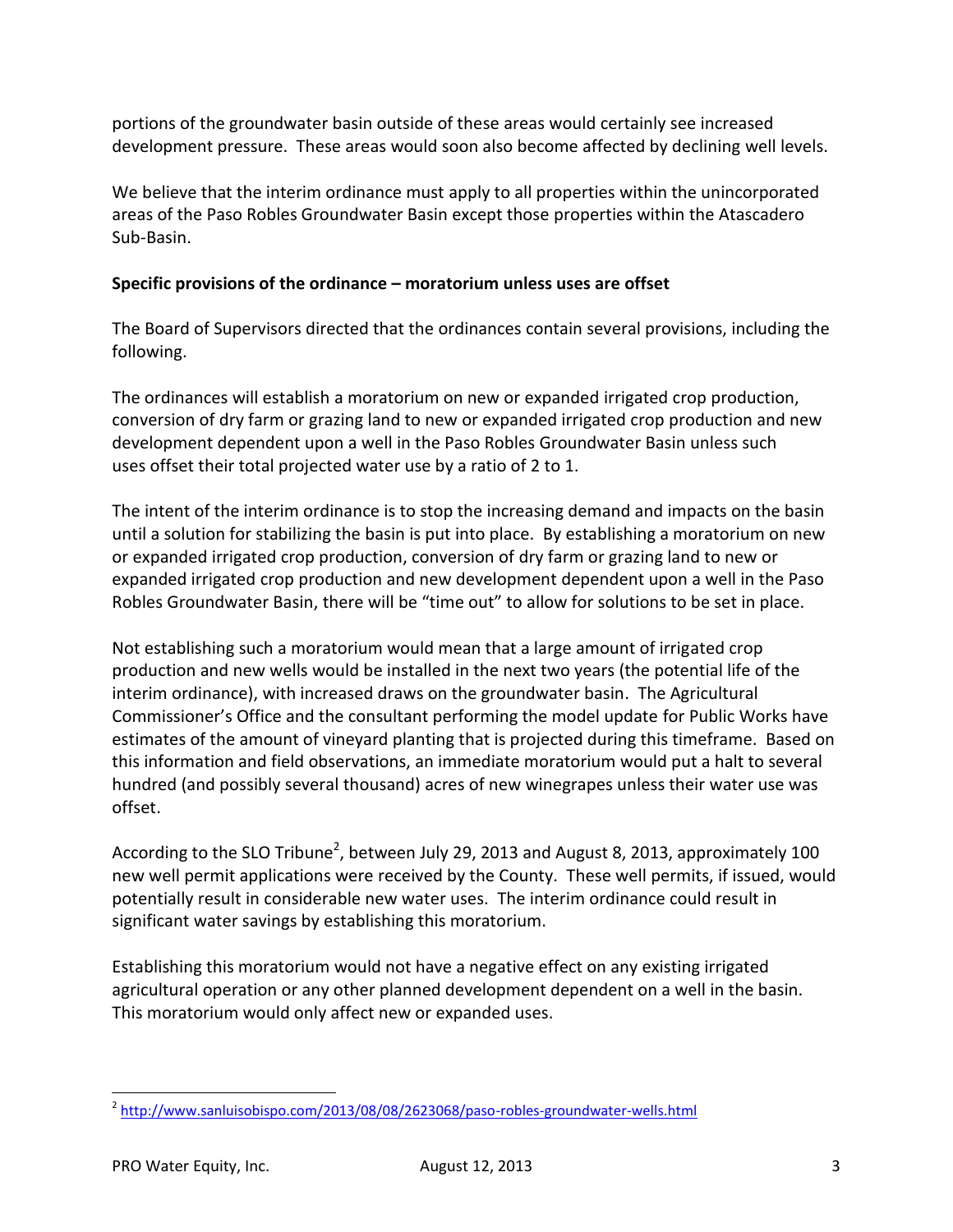portions of the groundwater basin outside of these areas would certainly see increased development pressure. These areas would soon also become affected by declining well levels.

We believe that the interim ordinance must apply to all properties within the unincorporated areas of the Paso Robles Groundwater Basin except those properties within the Atascadero Sub-Basin.

#### **Specific provisions of the ordinance – moratorium unless uses are offset**

The Board of Supervisors directed that the ordinances contain several provisions, including the following.

The ordinances will establish a moratorium on new or expanded irrigated crop production, conversion of dry farm or grazing land to new or expanded irrigated crop production and new development dependent upon a well in the Paso Robles Groundwater Basin unless such uses offset their total projected water use by a ratio of 2 to 1.

The intent of the interim ordinance is to stop the increasing demand and impacts on the basin until a solution for stabilizing the basin is put into place. By establishing a moratorium on new or expanded irrigated crop production, conversion of dry farm or grazing land to new or expanded irrigated crop production and new development dependent upon a well in the Paso Robles Groundwater Basin, there will be "time out" to allow for solutions to be set in place.

Not establishing such a moratorium would mean that a large amount of irrigated crop production and new wells would be installed in the next two years (the potential life of the interim ordinance), with increased draws on the groundwater basin. The Agricultural Commissioner's Office and the consultant performing the model update for Public Works have estimates of the amount of vineyard planting that is projected during this timeframe. Based on this information and field observations, an immediate moratorium would put a halt to several hundred (and possibly several thousand) acres of new winegrapes unless their water use was offset.

According to the SLO Tribune<sup>2</sup>, between July 29, 2013 and August 8, 2013, approximately 100 new well permit applications were received by the County. These well permits, if issued, would potentially result in considerable new water uses. The interim ordinance could result in significant water savings by establishing this moratorium.

Establishing this moratorium would not have a negative effect on any existing irrigated agricultural operation or any other planned development dependent on a well in the basin. This moratorium would only affect new or expanded uses.

 $\overline{\phantom{a}}$ 

<sup>&</sup>lt;sup>2</sup> <http://www.sanluisobispo.com/2013/08/08/2623068/paso-robles-groundwater-wells.html>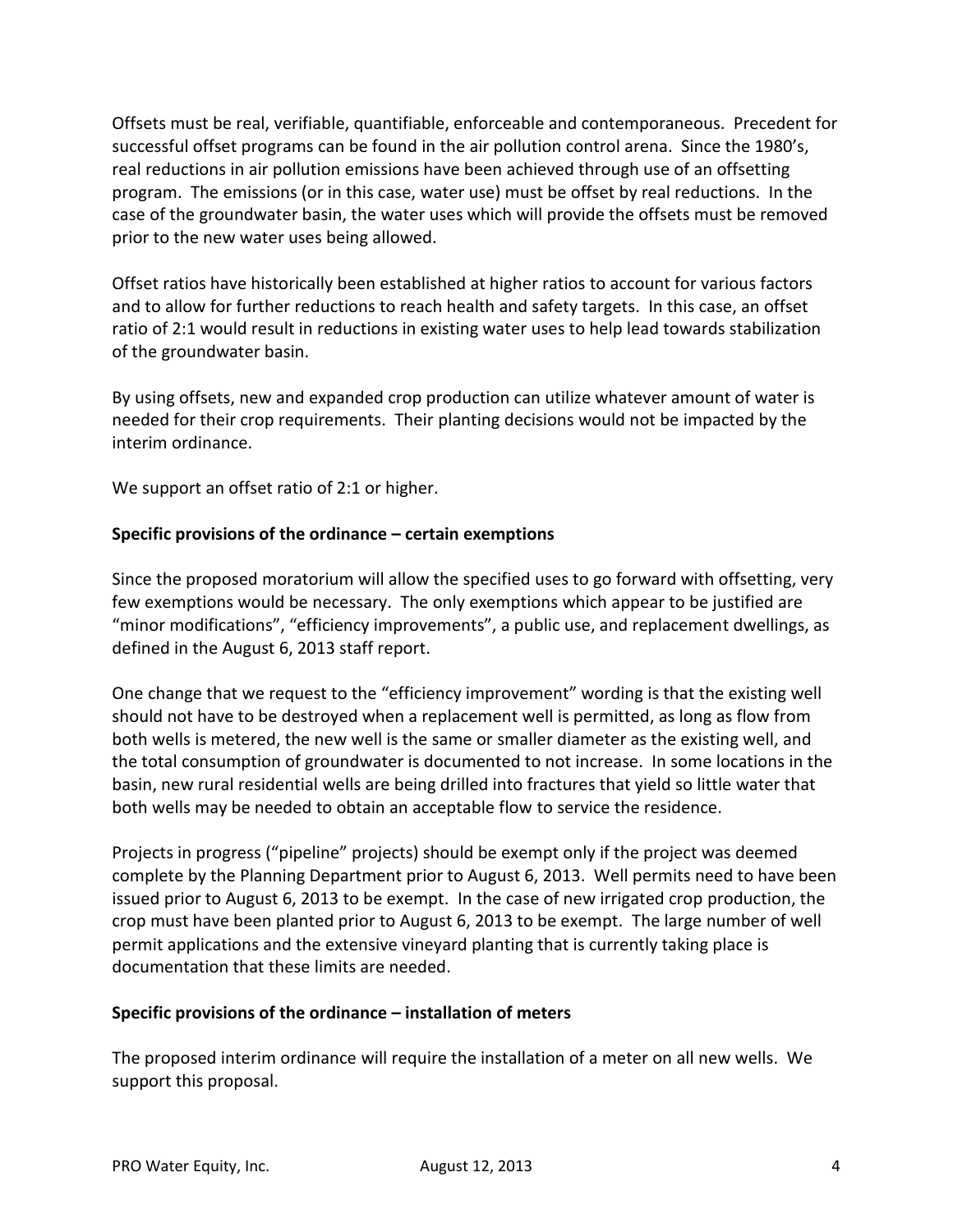Offsets must be real, verifiable, quantifiable, enforceable and contemporaneous. Precedent for successful offset programs can be found in the air pollution control arena. Since the 1980's, real reductions in air pollution emissions have been achieved through use of an offsetting program. The emissions (or in this case, water use) must be offset by real reductions. In the case of the groundwater basin, the water uses which will provide the offsets must be removed prior to the new water uses being allowed.

Offset ratios have historically been established at higher ratios to account for various factors and to allow for further reductions to reach health and safety targets. In this case, an offset ratio of 2:1 would result in reductions in existing water uses to help lead towards stabilization of the groundwater basin.

By using offsets, new and expanded crop production can utilize whatever amount of water is needed for their crop requirements. Their planting decisions would not be impacted by the interim ordinance.

We support an offset ratio of 2:1 or higher.

## **Specific provisions of the ordinance – certain exemptions**

Since the proposed moratorium will allow the specified uses to go forward with offsetting, very few exemptions would be necessary. The only exemptions which appear to be justified are "minor modifications", "efficiency improvements", a public use, and replacement dwellings, as defined in the August 6, 2013 staff report.

One change that we request to the "efficiency improvement" wording is that the existing well should not have to be destroyed when a replacement well is permitted, as long as flow from both wells is metered, the new well is the same or smaller diameter as the existing well, and the total consumption of groundwater is documented to not increase. In some locations in the basin, new rural residential wells are being drilled into fractures that yield so little water that both wells may be needed to obtain an acceptable flow to service the residence.

Projects in progress ("pipeline" projects) should be exempt only if the project was deemed complete by the Planning Department prior to August 6, 2013. Well permits need to have been issued prior to August 6, 2013 to be exempt. In the case of new irrigated crop production, the crop must have been planted prior to August 6, 2013 to be exempt. The large number of well permit applications and the extensive vineyard planting that is currently taking place is documentation that these limits are needed.

#### **Specific provisions of the ordinance – installation of meters**

The proposed interim ordinance will require the installation of a meter on all new wells. We support this proposal.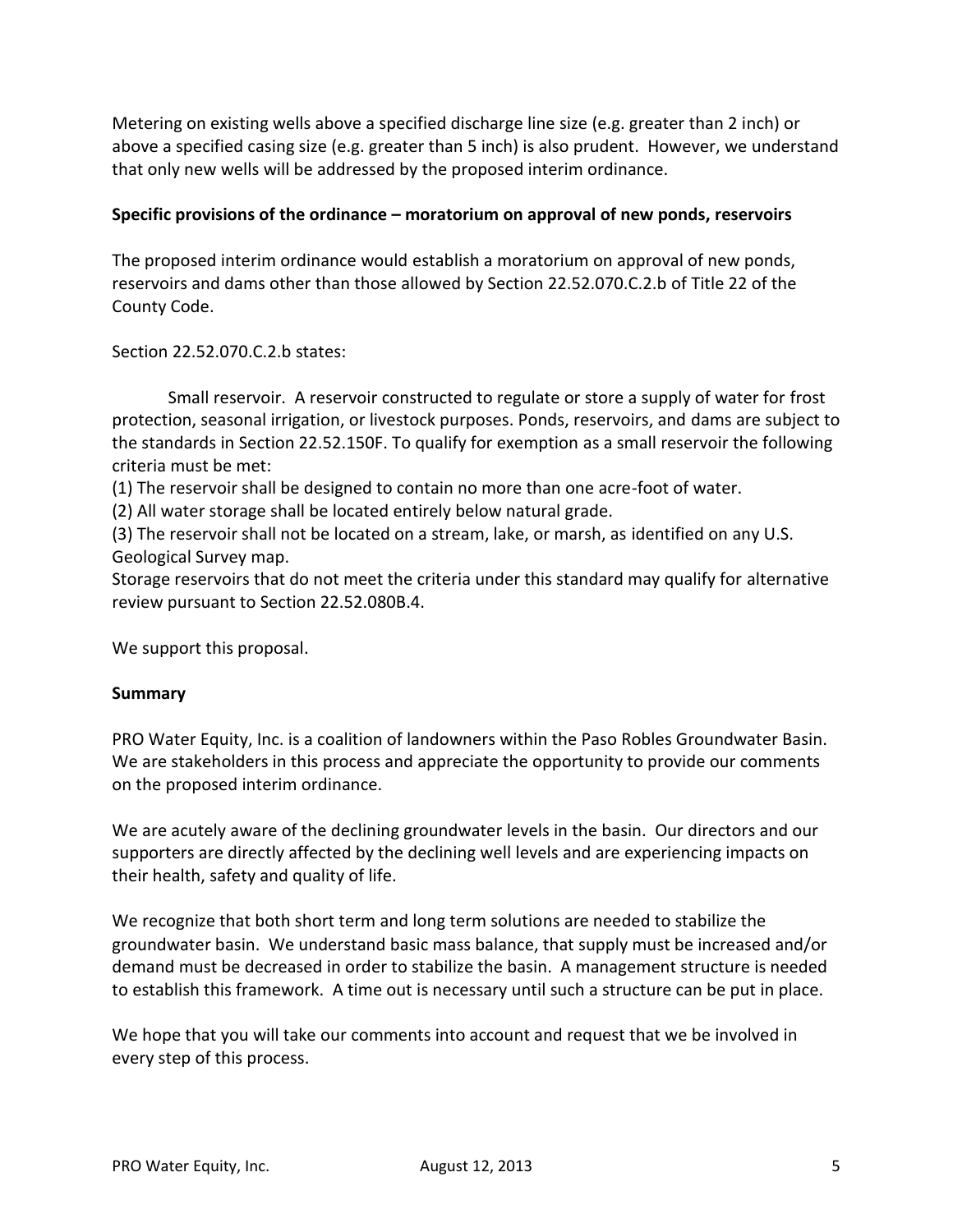Metering on existing wells above a specified discharge line size (e.g. greater than 2 inch) or above a specified casing size (e.g. greater than 5 inch) is also prudent. However, we understand that only new wells will be addressed by the proposed interim ordinance.

## **Specific provisions of the ordinance – moratorium on approval of new ponds, reservoirs**

The proposed interim ordinance would establish a moratorium on approval of new ponds, reservoirs and dams other than those allowed by Section 22.52.070.C.2.b of Title 22 of the County Code.

Section 22.52.070.C.2.b states:

Small reservoir. A reservoir constructed to regulate or store a supply of water for frost protection, seasonal irrigation, or livestock purposes. Ponds, reservoirs, and dams are subject to the standards in Section 22.52.150F. To qualify for exemption as a small reservoir the following criteria must be met:

(1) The reservoir shall be designed to contain no more than one acre-foot of water.

(2) All water storage shall be located entirely below natural grade.

(3) The reservoir shall not be located on a stream, lake, or marsh, as identified on any U.S. Geological Survey map.

Storage reservoirs that do not meet the criteria under this standard may qualify for alternative review pursuant to Section 22.52.080B.4.

We support this proposal.

#### **Summary**

PRO Water Equity, Inc. is a coalition of landowners within the Paso Robles Groundwater Basin. We are stakeholders in this process and appreciate the opportunity to provide our comments on the proposed interim ordinance.

We are acutely aware of the declining groundwater levels in the basin. Our directors and our supporters are directly affected by the declining well levels and are experiencing impacts on their health, safety and quality of life.

We recognize that both short term and long term solutions are needed to stabilize the groundwater basin. We understand basic mass balance, that supply must be increased and/or demand must be decreased in order to stabilize the basin. A management structure is needed to establish this framework. A time out is necessary until such a structure can be put in place.

We hope that you will take our comments into account and request that we be involved in every step of this process.